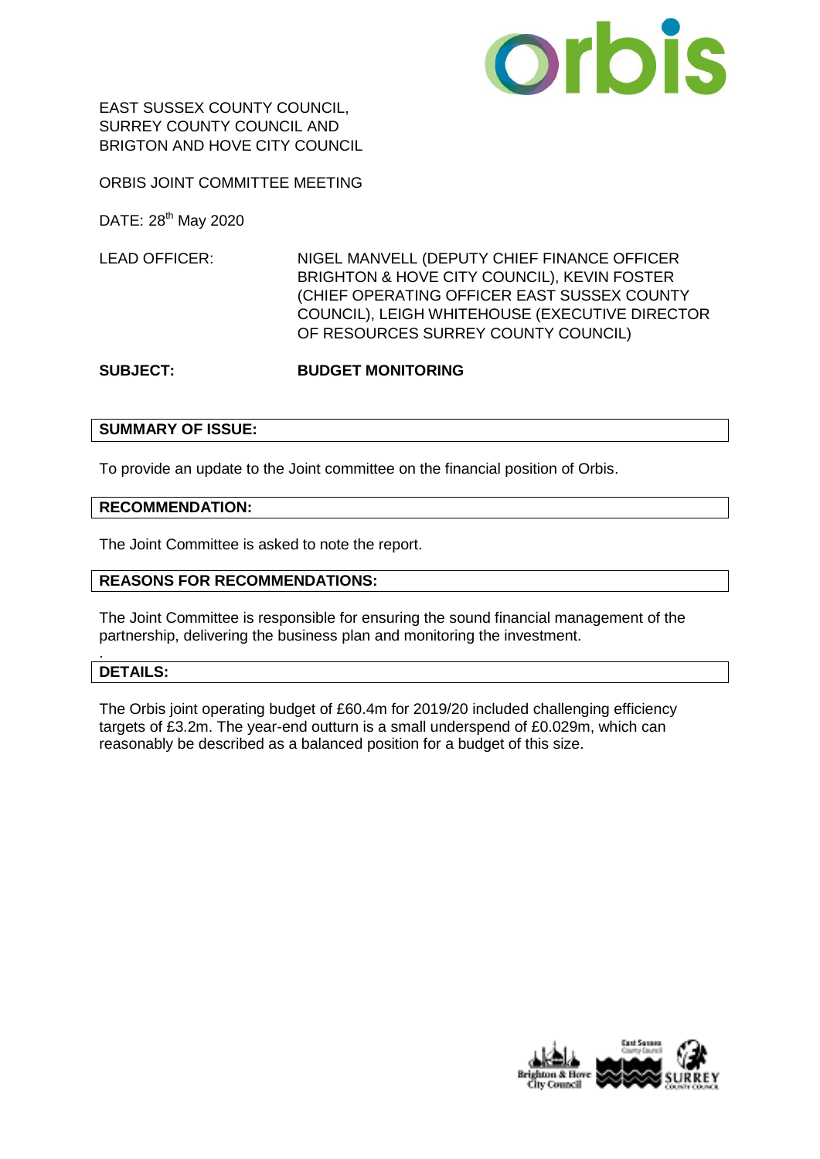

EAST SUSSEX COUNTY COUNCIL, SURREY COUNTY COUNCIL AND BRIGTON AND HOVE CITY COUNCIL

ORBIS JOINT COMMITTEE MEETING

DATE: 28<sup>th</sup> May 2020

LEAD OFFICER: NIGEL MANVELL (DEPUTY CHIEF FINANCE OFFICER BRIGHTON & HOVE CITY COUNCIL), KEVIN FOSTER (CHIEF OPERATING OFFICER EAST SUSSEX COUNTY COUNCIL), LEIGH WHITEHOUSE (EXECUTIVE DIRECTOR OF RESOURCES SURREY COUNTY COUNCIL)

### **SUBJECT: BUDGET MONITORING**

### **SUMMARY OF ISSUE:**

To provide an update to the Joint committee on the financial position of Orbis.

#### **RECOMMENDATION:**

The Joint Committee is asked to note the report.

### **REASONS FOR RECOMMENDATIONS:**

The Joint Committee is responsible for ensuring the sound financial management of the partnership, delivering the business plan and monitoring the investment.

### **DETAILS:**

.

The Orbis joint operating budget of £60.4m for 2019/20 included challenging efficiency targets of £3.2m. The year-end outturn is a small underspend of £0.029m, which can reasonably be described as a balanced position for a budget of this size.

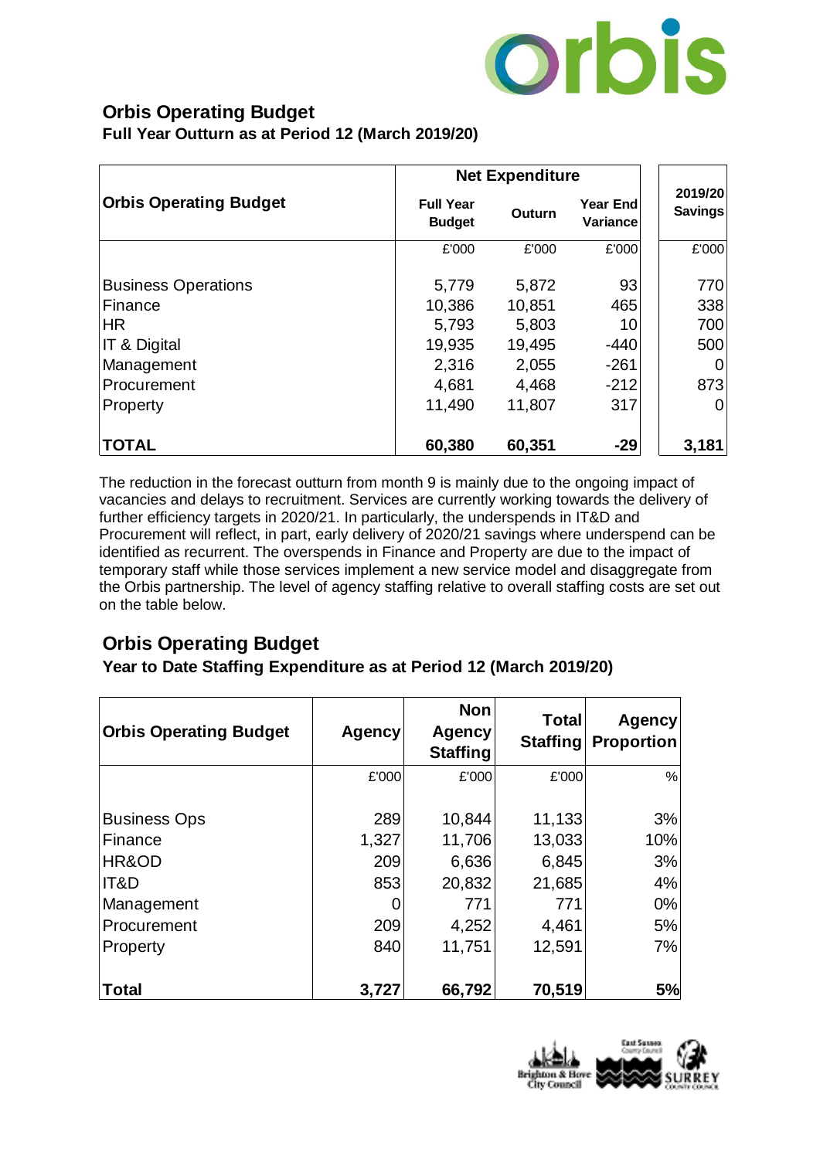

# **Orbis Operating Budget**

**Full Year Outturn as at Period 12 (March 2019/20)**

|                               | <b>Net Expenditure</b>            |        |                      |                           |
|-------------------------------|-----------------------------------|--------|----------------------|---------------------------|
| <b>Orbis Operating Budget</b> | <b>Full Year</b><br><b>Budget</b> | Outurn | Year End<br>Variance | 2019/20<br><b>Savings</b> |
|                               | £'000                             | £'000  | £'000                | £'000                     |
| <b>Business Operations</b>    | 5,779                             | 5,872  | 93                   | 770                       |
| Finance                       | 10,386                            | 10,851 | 465                  | 338                       |
| <b>HR</b>                     | 5,793                             | 5,803  | 10                   | 700                       |
| <b>IT &amp; Digital</b>       | 19,935                            | 19,495 | $-440$               | 500                       |
| Management                    | 2,316                             | 2,055  | $-261$               |                           |
| Procurement                   | 4,681                             | 4,468  | $-212$               | 873                       |
| Property                      | 11,490                            | 11,807 | 317                  |                           |
| <b>TOTAL</b>                  | 60,380                            | 60,351 | $-29$                | 3,181                     |

The reduction in the forecast outturn from month 9 is mainly due to the ongoing impact of vacancies and delays to recruitment. Services are currently working towards the delivery of further efficiency targets in 2020/21. In particularly, the underspends in IT&D and Procurement will reflect, in part, early delivery of 2020/21 savings where underspend can be identified as recurrent. The overspends in Finance and Property are due to the impact of temporary staff while those services implement a new service model and disaggregate from the Orbis partnership. The level of agency staffing relative to overall staffing costs are set out on the table below.

# **Orbis Operating Budget**

## **Year to Date Staffing Expenditure as at Period 12 (March 2019/20)**

| <b>Orbis Operating Budget</b> | <b>Agency</b> | <b>Non</b><br>Agency<br><b>Staffing</b> | <b>Total</b><br>Staffing | <b>Agency</b><br><b>Proportion</b> |
|-------------------------------|---------------|-----------------------------------------|--------------------------|------------------------------------|
|                               | £'000         | £'000                                   | £'000                    | %                                  |
|                               |               |                                         |                          |                                    |
| <b>Business Ops</b>           | 289           | 10,844                                  | 11,133                   | 3%                                 |
| Finance                       | 1,327         | 11,706                                  | 13,033                   | 10%                                |
| HR&OD                         | 209           | 6,636                                   | 6,845                    | 3%                                 |
| IT&D                          | 853           | 20,832                                  | 21,685                   | 4%                                 |
| Management                    |               | 771                                     | 771                      | 0%                                 |
| Procurement                   | 209           | 4,252                                   | 4,461                    | 5%                                 |
| Property                      | 840           | 11,751                                  | 12,591                   | 7%                                 |
|                               |               |                                         |                          |                                    |
| <b>Total</b>                  | 3,727         | 66,792                                  | 70,519                   | 5%                                 |